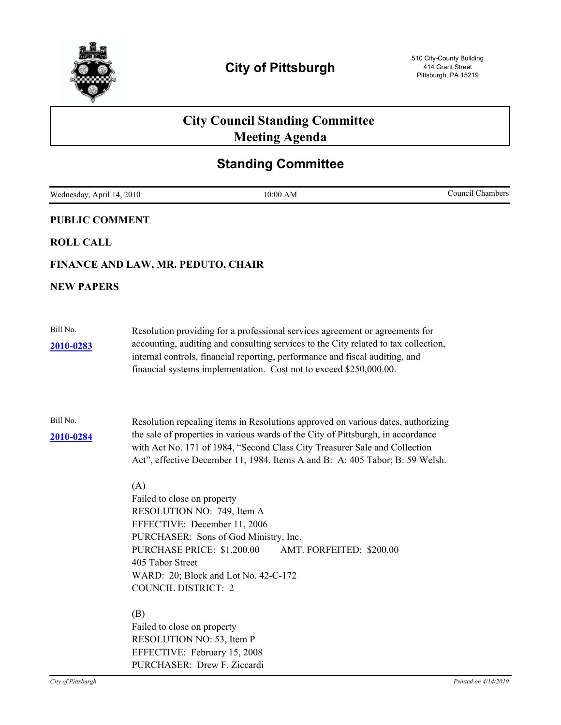

# **City Council Standing Committee Meeting Agenda**

# **Standing Committee**

| Wednesday, April 14, 2010 |                                                                                                                                                                                  | 10:00 AM                                                                                                                                                                                                                                                                                                                           | Council Chambers |
|---------------------------|----------------------------------------------------------------------------------------------------------------------------------------------------------------------------------|------------------------------------------------------------------------------------------------------------------------------------------------------------------------------------------------------------------------------------------------------------------------------------------------------------------------------------|------------------|
| <b>PUBLIC COMMENT</b>     |                                                                                                                                                                                  |                                                                                                                                                                                                                                                                                                                                    |                  |
| <b>ROLL CALL</b>          |                                                                                                                                                                                  |                                                                                                                                                                                                                                                                                                                                    |                  |
|                           | FINANCE AND LAW, MR. PEDUTO, CHAIR                                                                                                                                               |                                                                                                                                                                                                                                                                                                                                    |                  |
| <b>NEW PAPERS</b>         |                                                                                                                                                                                  |                                                                                                                                                                                                                                                                                                                                    |                  |
| Bill No.<br>2010-0283     |                                                                                                                                                                                  | Resolution providing for a professional services agreement or agreements for<br>accounting, auditing and consulting services to the City related to tax collection,<br>internal controls, financial reporting, performance and fiscal auditing, and<br>financial systems implementation. Cost not to exceed \$250,000.00.          |                  |
| Bill No.<br>2010-0284     |                                                                                                                                                                                  | Resolution repealing items in Resolutions approved on various dates, authorizing<br>the sale of properties in various wards of the City of Pittsburgh, in accordance<br>with Act No. 171 of 1984, "Second Class City Treasurer Sale and Collection<br>Act", effective December 11, 1984. Items A and B: A: 405 Tabor; B: 59 Welsh. |                  |
|                           | (A)<br>Failed to close on property<br>RESOLUTION NO: 749, Item A<br>EFFECTIVE: December 11, 2006<br>PURCHASE PRICE: \$1,200.00<br>405 Tabor Street<br><b>COUNCIL DISTRICT: 2</b> | PURCHASER: Sons of God Ministry, Inc.<br>AMT. FORFEITED: \$200.00<br>WARD: 20; Block and Lot No. 42-C-172                                                                                                                                                                                                                          |                  |
|                           | (B)<br>Failed to close on property<br>RESOLUTION NO: 53, Item P<br>EFFECTIVE: February 15, 2008<br>PURCHASER: Drew F. Ziccardi                                                   |                                                                                                                                                                                                                                                                                                                                    |                  |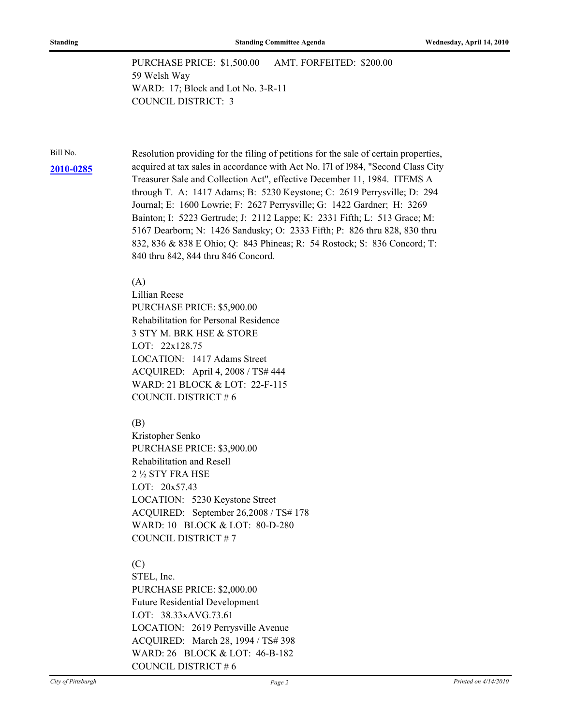PURCHASE PRICE: \$1,500.00 AMT. FORFEITED: \$200.00 59 Welsh Way WARD: 17; Block and Lot No. 3-R-11 COUNCIL DISTRICT: 3

Bill No. Resolution providing for the filing of petitions for the sale of certain properties, acquired at tax sales in accordance with Act No. l7l of l984, "Second Class City **[2010-0285](http://pittsburgh.legistar.com/gateway.aspx/matter.aspx?key=12816)** Treasurer Sale and Collection Act", effective December 11, 1984. ITEMS A through T. A: 1417 Adams; B: 5230 Keystone; C: 2619 Perrysville; D: 294 Journal; E: 1600 Lowrie; F: 2627 Perrysville; G: 1422 Gardner; H: 3269 Bainton; I: 5223 Gertrude; J: 2112 Lappe; K: 2331 Fifth; L: 513 Grace; M: 5167 Dearborn; N: 1426 Sandusky; O: 2333 Fifth; P: 826 thru 828, 830 thru 832, 836 & 838 E Ohio; Q: 843 Phineas; R: 54 Rostock; S: 836 Concord; T: 840 thru 842, 844 thru 846 Concord.

#### (A)

Lillian Reese PURCHASE PRICE: \$5,900.00 Rehabilitation for Personal Residence 3 STY M. BRK HSE & STORE LOT: 22x128.75 LOCATION: 1417 Adams Street ACQUIRED: April 4, 2008 / TS# 444 WARD: 21 BLOCK & LOT: 22-F-115 COUNCIL DISTRICT # 6

#### (B)

Kristopher Senko PURCHASE PRICE: \$3,900.00 Rehabilitation and Resell 2 ½ STY FRA HSE LOT: 20x57.43 LOCATION: 5230 Keystone Street ACQUIRED: September 26,2008 / TS# 178 WARD: 10 BLOCK & LOT: 80-D-280 COUNCIL DISTRICT # 7

### (C)

STEL, Inc. PURCHASE PRICE: \$2,000.00 Future Residential Development LOT: 38.33xAVG.73.61 LOCATION: 2619 Perrysville Avenue ACQUIRED: March 28, 1994 / TS# 398 WARD: 26 BLOCK & LOT: 46-B-182 COUNCIL DISTRICT # 6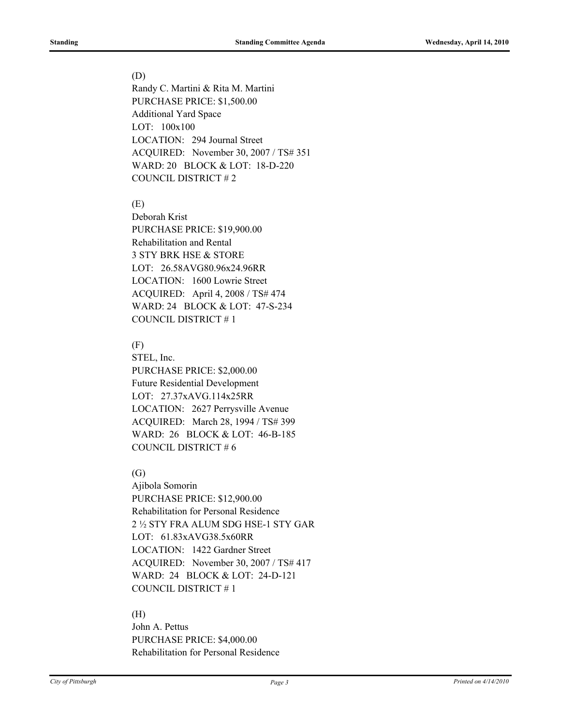#### (D)

Randy C. Martini & Rita M. Martini PURCHASE PRICE: \$1,500.00 Additional Yard Space LOT: 100x100 LOCATION: 294 Journal Street ACQUIRED: November 30, 2007 / TS# 351 WARD: 20 BLOCK & LOT: 18-D-220 COUNCIL DISTRICT # 2

(E)

Deborah Krist PURCHASE PRICE: \$19,900.00 Rehabilitation and Rental 3 STY BRK HSE & STORE LOT: 26.58AVG80.96x24.96RR LOCATION: 1600 Lowrie Street ACQUIRED: April 4, 2008 / TS# 474 WARD: 24 BLOCK & LOT: 47-S-234 COUNCIL DISTRICT # 1

#### (F)

STEL, Inc. PURCHASE PRICE: \$2,000.00 Future Residential Development LOT: 27.37xAVG.114x25RR LOCATION: 2627 Perrysville Avenue ACQUIRED: March 28, 1994 / TS# 399 WARD: 26 BLOCK & LOT: 46-B-185 COUNCIL DISTRICT # 6

### (G)

Ajibola Somorin PURCHASE PRICE: \$12,900.00 Rehabilitation for Personal Residence 2 ½ STY FRA ALUM SDG HSE-1 STY GAR LOT: 61.83xAVG38.5x60RR LOCATION: 1422 Gardner Street ACQUIRED: November 30, 2007 / TS# 417 WARD: 24 BLOCK & LOT: 24-D-121 COUNCIL DISTRICT # 1

### (H)

John A. Pettus PURCHASE PRICE: \$4,000.00 Rehabilitation for Personal Residence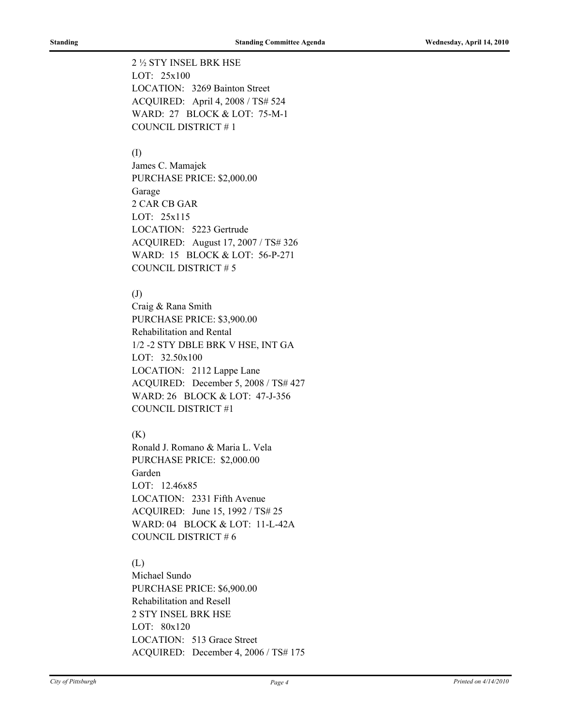2 ½ STY INSEL BRK HSE LOT: 25x100 LOCATION: 3269 Bainton Street ACQUIRED: April 4, 2008 / TS# 524 WARD: 27 BLOCK & LOT: 75-M-1 COUNCIL DISTRICT # 1

#### (I)

James C. Mamajek PURCHASE PRICE: \$2,000.00 Garage 2 CAR CB GAR LOT: 25x115 LOCATION: 5223 Gertrude ACQUIRED: August 17, 2007 / TS# 326 WARD: 15 BLOCK & LOT: 56-P-271 COUNCIL DISTRICT # 5

### (J)

Craig & Rana Smith PURCHASE PRICE: \$3,900.00 Rehabilitation and Rental 1/2 -2 STY DBLE BRK V HSE, INT GA LOT: 32.50x100 LOCATION: 2112 Lappe Lane ACQUIRED: December 5, 2008 / TS# 427 WARD: 26 BLOCK & LOT: 47-J-356 COUNCIL DISTRICT #1

#### (K)

Ronald J. Romano & Maria L. Vela PURCHASE PRICE: \$2,000.00 Garden LOT: 12.46x85 LOCATION: 2331 Fifth Avenue ACQUIRED: June 15, 1992 / TS# 25 WARD: 04 BLOCK & LOT: 11-L-42A COUNCIL DISTRICT # 6

### (L)

Michael Sundo PURCHASE PRICE: \$6,900.00 Rehabilitation and Resell 2 STY INSEL BRK HSE LOT: 80x120 LOCATION: 513 Grace Street ACQUIRED: December 4, 2006 / TS# 175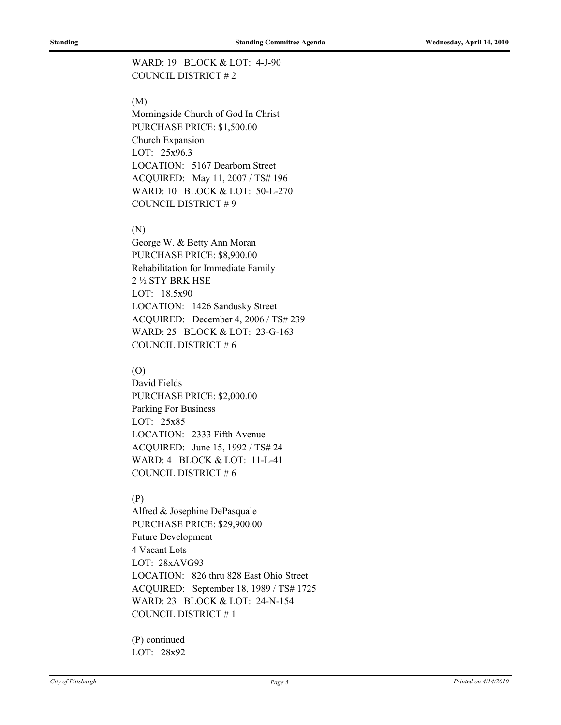### WARD: 19 BLOCK & LOT: 4-J-90 COUNCIL DISTRICT # 2

### (M)

Morningside Church of God In Christ PURCHASE PRICE: \$1,500.00 Church Expansion LOT: 25x96.3 LOCATION: 5167 Dearborn Street ACQUIRED: May 11, 2007 / TS# 196 WARD: 10 BLOCK & LOT: 50-L-270 COUNCIL DISTRICT # 9

#### (N)

George W. & Betty Ann Moran PURCHASE PRICE: \$8,900.00 Rehabilitation for Immediate Family 2 ½ STY BRK HSE LOT: 18.5x90 LOCATION: 1426 Sandusky Street ACQUIRED: December 4, 2006 / TS# 239 WARD: 25 BLOCK & LOT: 23-G-163 COUNCIL DISTRICT # 6

#### (O)

David Fields PURCHASE PRICE: \$2,000.00 Parking For Business LOT: 25x85 LOCATION: 2333 Fifth Avenue ACQUIRED: June 15, 1992 / TS# 24 WARD: 4 BLOCK & LOT: 11-L-41 COUNCIL DISTRICT # 6

#### (P)

Alfred & Josephine DePasquale PURCHASE PRICE: \$29,900.00 Future Development 4 Vacant Lots LOT: 28xAVG93 LOCATION: 826 thru 828 East Ohio Street ACQUIRED: September 18, 1989 / TS# 1725 WARD: 23 BLOCK & LOT: 24-N-154 COUNCIL DISTRICT # 1

(P) continued LOT: 28x92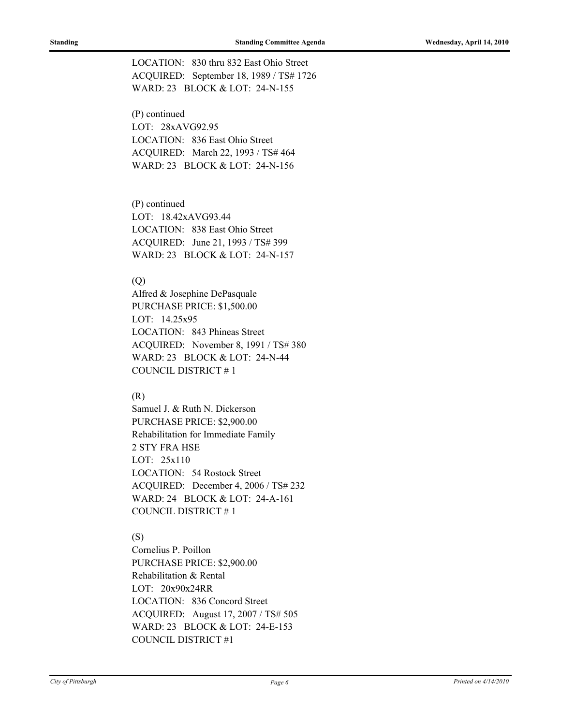LOCATION: 830 thru 832 East Ohio Street ACQUIRED: September 18, 1989 / TS# 1726 WARD: 23 BLOCK & LOT: 24-N-155

(P) continued LOT: 28xAVG92.95 LOCATION: 836 East Ohio Street ACQUIRED: March 22, 1993 / TS# 464 WARD: 23 BLOCK & LOT: 24-N-156

(P) continued LOT: 18.42xAVG93.44 LOCATION: 838 East Ohio Street ACQUIRED: June 21, 1993 / TS# 399 WARD: 23 BLOCK & LOT: 24-N-157

#### (Q)

Alfred & Josephine DePasquale PURCHASE PRICE: \$1,500.00 LOT: 14.25x95 LOCATION: 843 Phineas Street ACQUIRED: November 8, 1991 / TS# 380 WARD: 23 BLOCK & LOT: 24-N-44 COUNCIL DISTRICT # 1

#### (R)

Samuel J. & Ruth N. Dickerson PURCHASE PRICE: \$2,900.00 Rehabilitation for Immediate Family 2 STY FRA HSE LOT: 25x110 LOCATION: 54 Rostock Street ACQUIRED: December 4, 2006 / TS# 232 WARD: 24 BLOCK & LOT: 24-A-161 COUNCIL DISTRICT # 1

#### (S)

Cornelius P. Poillon PURCHASE PRICE: \$2,900.00 Rehabilitation & Rental LOT: 20x90x24RR LOCATION: 836 Concord Street ACQUIRED: August 17, 2007 / TS# 505 WARD: 23 BLOCK & LOT: 24-E-153 COUNCIL DISTRICT #1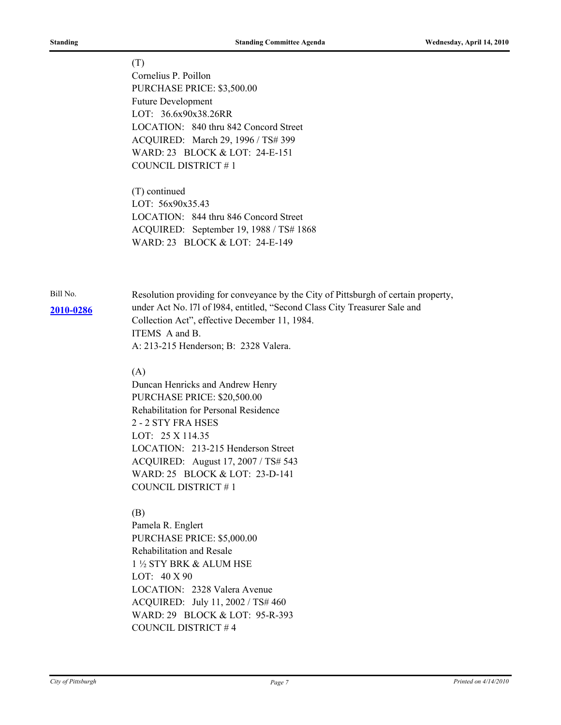# (T) Cornelius P. Poillon PURCHASE PRICE: \$3,500.00 Future Development LOT: 36.6x90x38.26RR LOCATION: 840 thru 842 Concord Street ACQUIRED: March 29, 1996 / TS# 399 WARD: 23 BLOCK & LOT: 24-E-151 COUNCIL DISTRICT # 1 (T) continued LOT: 56x90x35.43 LOCATION: 844 thru 846 Concord Street ACQUIRED: September 19, 1988 / TS# 1868 WARD: 23 BLOCK & LOT: 24-E-149 Bill No. Resolution providing for conveyance by the City of Pittsburgh of certain property, under Act No. l7l of l984, entitled, "Second Class City Treasurer Sale and Collection Act", effective December 11, 1984. ITEMS A and B. A: 213-215 Henderson; B: 2328 Valera. (A) Duncan Henricks and Andrew Henry PURCHASE PRICE: \$20,500.00 Rehabilitation for Personal Residence 2 - 2 STY FRA HSES LOT: 25 X 114.35 LOCATION: 213-215 Henderson Street ACQUIRED: August 17, 2007 / TS# 543 WARD: 25 BLOCK & LOT: 23-D-141 COUNCIL DISTRICT # 1 (B) Pamela R. Englert PURCHASE PRICE: \$5,000.00 **[2010-0286](http://pittsburgh.legistar.com/gateway.aspx/matter.aspx?key=12817)**

Rehabilitation and Resale 1 ½ STY BRK & ALUM HSE LOT: 40 X 90 LOCATION: 2328 Valera Avenue ACQUIRED: July 11, 2002 / TS# 460 WARD: 29 BLOCK & LOT: 95-R-393 COUNCIL DISTRICT # 4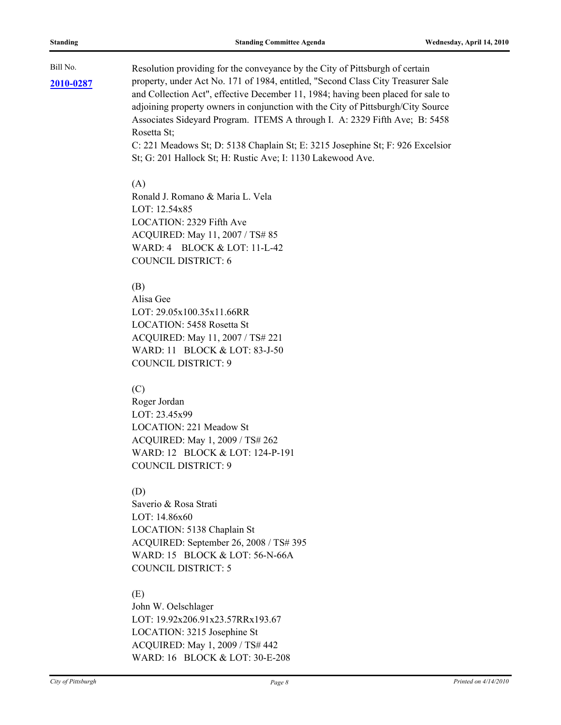**[2010-0287](http://pittsburgh.legistar.com/gateway.aspx/matter.aspx?key=12818)**

Bill No. Resolution providing for the conveyance by the City of Pittsburgh of certain property, under Act No. 171 of 1984, entitled, "Second Class City Treasurer Sale and Collection Act", effective December 11, 1984; having been placed for sale to adjoining property owners in conjunction with the City of Pittsburgh/City Source Associates Sideyard Program. ITEMS A through I. A: 2329 Fifth Ave; B: 5458 Rosetta St;

C: 221 Meadows St; D: 5138 Chaplain St; E: 3215 Josephine St; F: 926 Excelsior St; G: 201 Hallock St; H: Rustic Ave; I: 1130 Lakewood Ave.

#### $(A)$

Ronald J. Romano & Maria L. Vela LOT: 12.54x85 LOCATION: 2329 Fifth Ave ACQUIRED: May 11, 2007 / TS# 85 WARD: 4 BLOCK & LOT: 11-L-42 COUNCIL DISTRICT: 6

#### (B)

Alisa Gee LOT: 29.05x100.35x11.66RR LOCATION: 5458 Rosetta St ACQUIRED: May 11, 2007 / TS# 221 WARD: 11 BLOCK & LOT: 83-J-50 COUNCIL DISTRICT: 9

#### (C)

Roger Jordan LOT: 23.45x99 LOCATION: 221 Meadow St ACQUIRED: May 1, 2009 / TS# 262 WARD: 12 BLOCK & LOT: 124-P-191 COUNCIL DISTRICT: 9

### (D)

Saverio & Rosa Strati LOT: 14.86x60 LOCATION: 5138 Chaplain St ACQUIRED: September 26, 2008 / TS# 395 WARD: 15 BLOCK & LOT: 56-N-66A COUNCIL DISTRICT: 5

#### (E)

John W. Oelschlager LOT: 19.92x206.91x23.57RRx193.67 LOCATION: 3215 Josephine St ACQUIRED: May 1, 2009 / TS# 442 WARD: 16 BLOCK & LOT: 30-E-208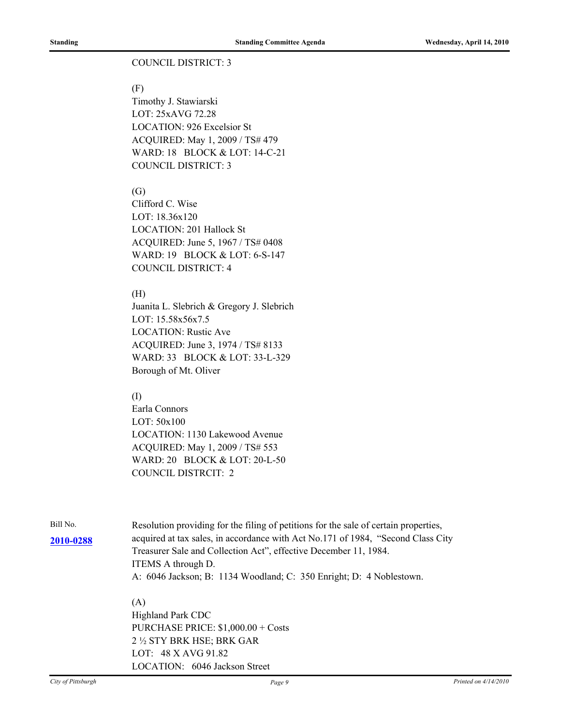#### COUNCIL DISTRICT: 3

#### (F)

Timothy J. Stawiarski LOT: 25xAVG 72.28 LOCATION: 926 Excelsior St ACQUIRED: May 1, 2009 / TS# 479 WARD: 18 BLOCK & LOT: 14-C-21 COUNCIL DISTRICT: 3

#### (G)

Clifford C. Wise LOT: 18.36x120 LOCATION: 201 Hallock St ACQUIRED: June 5, 1967 / TS# 0408 WARD: 19 BLOCK & LOT: 6-S-147 COUNCIL DISTRICT: 4

#### (H)

Juanita L. Slebrich & Gregory J. Slebrich LOT: 15.58x56x7.5 LOCATION: Rustic Ave ACQUIRED: June 3, 1974 / TS# 8133 WARD: 33 BLOCK & LOT: 33-L-329 Borough of Mt. Oliver

#### (I)

Earla Connors LOT: 50x100 LOCATION: 1130 Lakewood Avenue ACQUIRED: May 1, 2009 / TS# 553 WARD: 20 BLOCK & LOT: 20-L-50 COUNCIL DISTRCIT: 2

Bill No. Resolution providing for the filing of petitions for the sale of certain properties, acquired at tax sales, in accordance with Act No.171 of 1984, "Second Class City **[2010-0288](http://pittsburgh.legistar.com/gateway.aspx/matter.aspx?key=12820)** Treasurer Sale and Collection Act", effective December 11, 1984. ITEMS A through D. A: 6046 Jackson; B: 1134 Woodland; C: 350 Enright; D: 4 Noblestown.

### (A)

Highland Park CDC PURCHASE PRICE: \$1,000.00 + Costs 2 ½ STY BRK HSE; BRK GAR LOT: 48 X AVG 91.82 LOCATION: 6046 Jackson Street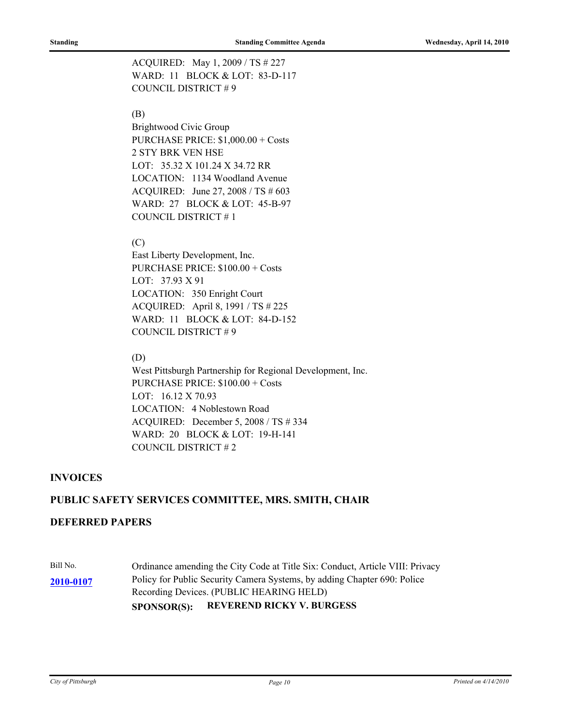ACQUIRED: May 1, 2009 / TS # 227 WARD: 11 BLOCK & LOT: 83-D-117 COUNCIL DISTRICT # 9

#### (B)

Brightwood Civic Group PURCHASE PRICE: \$1,000.00 + Costs 2 STY BRK VEN HSE LOT: 35.32 X 101.24 X 34.72 RR LOCATION: 1134 Woodland Avenue ACQUIRED: June 27, 2008 / TS # 603 WARD: 27 BLOCK & LOT: 45-B-97 COUNCIL DISTRICT # 1

#### (C)

East Liberty Development, Inc. PURCHASE PRICE: \$100.00 + Costs LOT: 37.93 X 91 LOCATION: 350 Enright Court ACQUIRED: April 8, 1991 / TS # 225 WARD: 11 BLOCK & LOT: 84-D-152 COUNCIL DISTRICT # 9

#### (D)

West Pittsburgh Partnership for Regional Development, Inc. PURCHASE PRICE: \$100.00 + Costs LOT: 16.12 X 70.93 LOCATION: 4 Noblestown Road ACQUIRED: December 5, 2008 / TS # 334 WARD: 20 BLOCK & LOT: 19-H-141 COUNCIL DISTRICT # 2

#### **INVOICES**

#### **PUBLIC SAFETY SERVICES COMMITTEE, MRS. SMITH, CHAIR**

#### **DEFERRED PAPERS**

Bill No. Cordinance amending the City Code at Title Six: Conduct, Article VIII: Privacy Policy for Public Security Camera Systems, by adding Chapter 690: Police Recording Devices. (PUBLIC HEARING HELD) **[2010-0107](http://pittsburgh.legistar.com/gateway.aspx/matter.aspx?key=12612) SPONSOR(S): REVEREND RICKY V. BURGESS**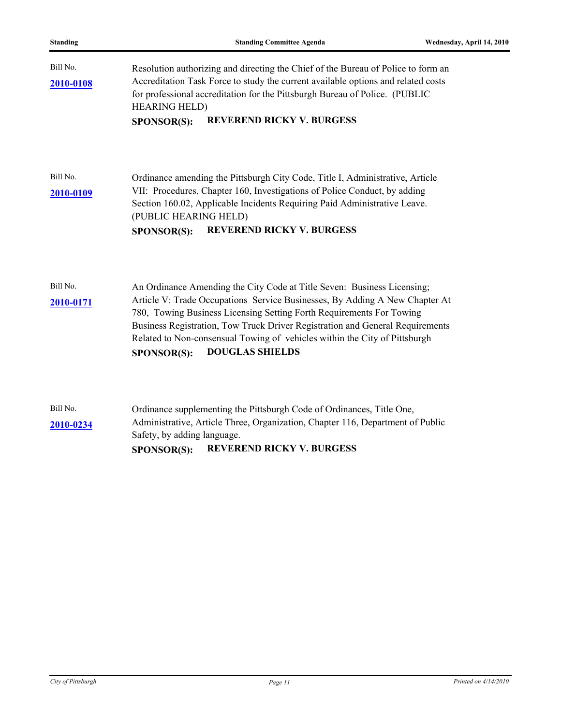Bill No. Resolution authorizing and directing the Chief of the Bureau of Police to form an Accreditation Task Force to study the current available options and related costs for professional accreditation for the Pittsburgh Bureau of Police. (PUBLIC HEARING HELD) **[2010-0108](http://pittsburgh.legistar.com/gateway.aspx/matter.aspx?key=12613) SPONSOR(S): REVEREND RICKY V. BURGESS**

Bill No. Ordinance amending the Pittsburgh City Code, Title I, Administrative, Article VII: Procedures, Chapter 160, Investigations of Police Conduct, by adding Section 160.02, Applicable Incidents Requiring Paid Administrative Leave. (PUBLIC HEARING HELD) **[2010-0109](http://pittsburgh.legistar.com/gateway.aspx/matter.aspx?key=12614) SPONSOR(S): REVEREND RICKY V. BURGESS**

| Bill No.  | An Ordinance Amending the City Code at Title Seven: Business Licensing;       |  |
|-----------|-------------------------------------------------------------------------------|--|
| 2010-0171 | Article V: Trade Occupations Service Businesses, By Adding A New Chapter At   |  |
|           | 780, Towing Business Licensing Setting Forth Requirements For Towing          |  |
|           | Business Registration, Tow Truck Driver Registration and General Requirements |  |
|           | Related to Non-consensual Towing of vehicles within the City of Pittsburgh    |  |
|           | <b>DOUGLAS SHIELDS</b><br><b>SPONSOR(S):</b>                                  |  |

|           | <b>REVEREND RICKY V. BURGESS</b><br><b>SPONSOR(S):</b>                         |  |
|-----------|--------------------------------------------------------------------------------|--|
|           | Safety, by adding language.                                                    |  |
| 2010-0234 | Administrative, Article Three, Organization, Chapter 116, Department of Public |  |
| Bill No.  | Ordinance supplementing the Pittsburgh Code of Ordinances, Title One,          |  |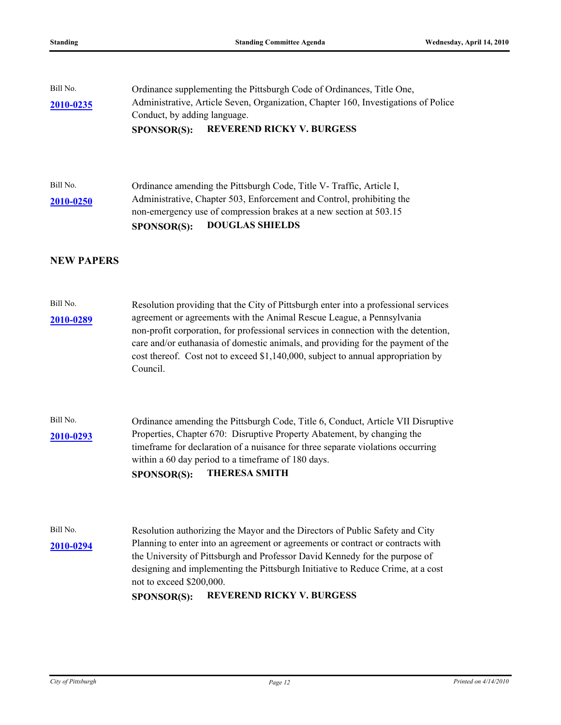| Bill No.<br>2010-0235 | Ordinance supplementing the Pittsburgh Code of Ordinances, Title One,<br>Administrative, Article Seven, Organization, Chapter 160, Investigations of Police<br>Conduct, by adding language.<br><b>REVEREND RICKY V. BURGESS</b><br><b>SPONSOR(S):</b>                                                                                                                                                                                   |
|-----------------------|-----------------------------------------------------------------------------------------------------------------------------------------------------------------------------------------------------------------------------------------------------------------------------------------------------------------------------------------------------------------------------------------------------------------------------------------|
| Bill No.<br>2010-0250 | Ordinance amending the Pittsburgh Code, Title V- Traffic, Article I,<br>Administrative, Chapter 503, Enforcement and Control, prohibiting the<br>non-emergency use of compression brakes at a new section at 503.15<br><b>DOUGLAS SHIELDS</b><br><b>SPONSOR(S):</b>                                                                                                                                                                     |
| <b>NEW PAPERS</b>     |                                                                                                                                                                                                                                                                                                                                                                                                                                         |
| Bill No.<br>2010-0289 | Resolution providing that the City of Pittsburgh enter into a professional services<br>agreement or agreements with the Animal Rescue League, a Pennsylvania<br>non-profit corporation, for professional services in connection with the detention,<br>care and/or euthanasia of domestic animals, and providing for the payment of the<br>cost thereof. Cost not to exceed \$1,140,000, subject to annual appropriation by<br>Council. |
| Bill No.<br>2010-0293 | Ordinance amending the Pittsburgh Code, Title 6, Conduct, Article VII Disruptive<br>Properties, Chapter 670: Disruptive Property Abatement, by changing the<br>timeframe for declaration of a nuisance for three separate violations occurring<br>within a 60 day period to a timeframe of 180 days.<br><b>THERESA SMITH</b><br>SPONSOR(S):                                                                                             |
| Bill No.<br>2010-0294 | Resolution authorizing the Mayor and the Directors of Public Safety and City<br>Planning to enter into an agreement or agreements or contract or contracts with<br>the University of Pittsburgh and Professor David Kennedy for the purpose of<br>designing and implementing the Pittsburgh Initiative to Reduce Crime, at a cost<br>not to exceed \$200,000.<br><b>REVEREND RICKY V. BURGESS</b><br>SPONSOR(S):                        |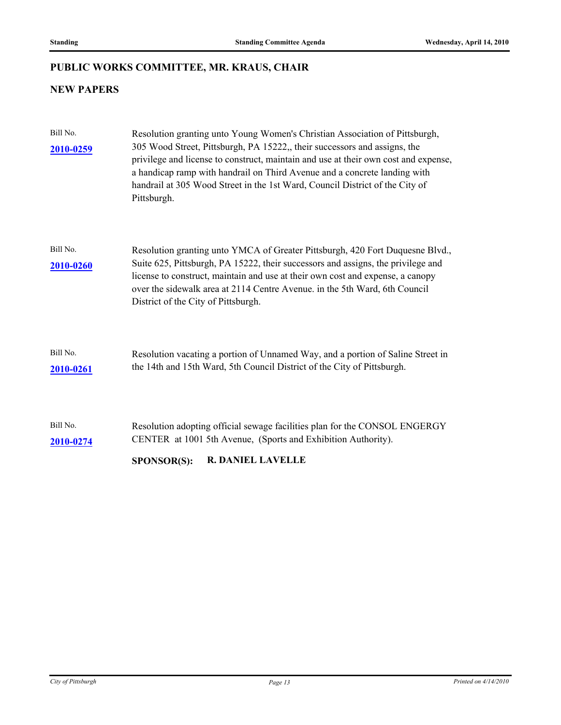## **PUBLIC WORKS COMMITTEE, MR. KRAUS, CHAIR**

## **NEW PAPERS**

| Bill No.<br>2010-0259 | Resolution granting unto Young Women's Christian Association of Pittsburgh,<br>305 Wood Street, Pittsburgh, PA 15222, their successors and assigns, the<br>privilege and license to construct, maintain and use at their own cost and expense,<br>a handicap ramp with handrail on Third Avenue and a concrete landing with<br>handrail at 305 Wood Street in the 1st Ward, Council District of the City of<br>Pittsburgh. |
|-----------------------|----------------------------------------------------------------------------------------------------------------------------------------------------------------------------------------------------------------------------------------------------------------------------------------------------------------------------------------------------------------------------------------------------------------------------|
| Bill No.<br>2010-0260 | Resolution granting unto YMCA of Greater Pittsburgh, 420 Fort Duquesne Blvd.,<br>Suite 625, Pittsburgh, PA 15222, their successors and assigns, the privilege and<br>license to construct, maintain and use at their own cost and expense, a canopy<br>over the sidewalk area at 2114 Centre Avenue. in the 5th Ward, 6th Council<br>District of the City of Pittsburgh.                                                   |
| Bill No.<br>2010-0261 | Resolution vacating a portion of Unnamed Way, and a portion of Saline Street in<br>the 14th and 15th Ward, 5th Council District of the City of Pittsburgh.                                                                                                                                                                                                                                                                 |
| Bill No.<br>2010-0274 | Resolution adopting official sewage facilities plan for the CONSOL ENGERGY<br>CENTER at 1001 5th Avenue, (Sports and Exhibition Authority).                                                                                                                                                                                                                                                                                |
|                       | <b>R. DANIEL LAVELLE</b><br><b>SPONSOR(S):</b>                                                                                                                                                                                                                                                                                                                                                                             |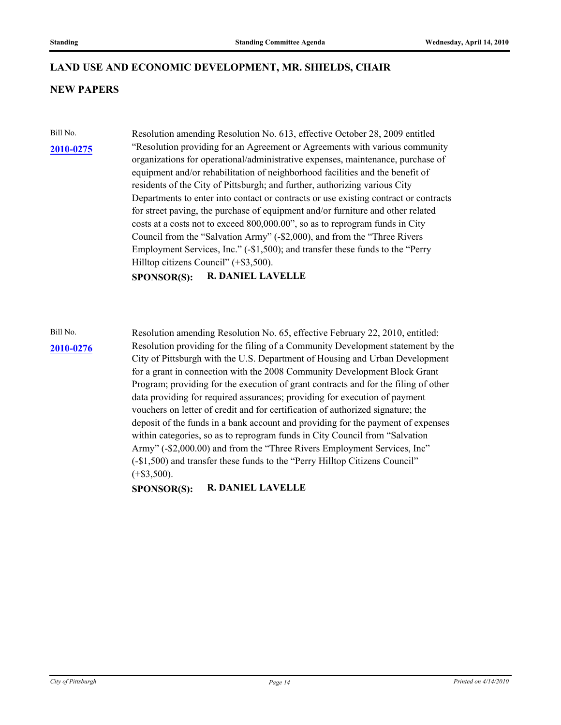### **LAND USE AND ECONOMIC DEVELOPMENT, MR. SHIELDS, CHAIR**

### **NEW PAPERS**

#### **[2010-0275](http://pittsburgh.legistar.com/gateway.aspx/matter.aspx?key=12805)**

Bill No. Resolution amending Resolution No. 613, effective October 28, 2009 entitled "Resolution providing for an Agreement or Agreements with various community organizations for operational/administrative expenses, maintenance, purchase of equipment and/or rehabilitation of neighborhood facilities and the benefit of residents of the City of Pittsburgh; and further, authorizing various City Departments to enter into contact or contracts or use existing contract or contracts for street paving, the purchase of equipment and/or furniture and other related costs at a costs not to exceed 800,000.00", so as to reprogram funds in City Council from the "Salvation Army" (-\$2,000), and from the "Three Rivers Employment Services, Inc." (-\$1,500); and transfer these funds to the "Perry Hilltop citizens Council" (+\$3,500).

**SPONSOR(S): R. DANIEL LAVELLE**

#### **[2010-0276](http://pittsburgh.legistar.com/gateway.aspx/matter.aspx?key=12806)**

Bill No. Resolution amending Resolution No. 65, effective February 22, 2010, entitled: Resolution providing for the filing of a Community Development statement by the City of Pittsburgh with the U.S. Department of Housing and Urban Development for a grant in connection with the 2008 Community Development Block Grant Program; providing for the execution of grant contracts and for the filing of other data providing for required assurances; providing for execution of payment vouchers on letter of credit and for certification of authorized signature; the deposit of the funds in a bank account and providing for the payment of expenses within categories, so as to reprogram funds in City Council from "Salvation Army" (-\$2,000.00) and from the "Three Rivers Employment Services, Inc" (-\$1,500) and transfer these funds to the "Perry Hilltop Citizens Council"  $(+\$3,500)$ .

**SPONSOR(S): R. DANIEL LAVELLE**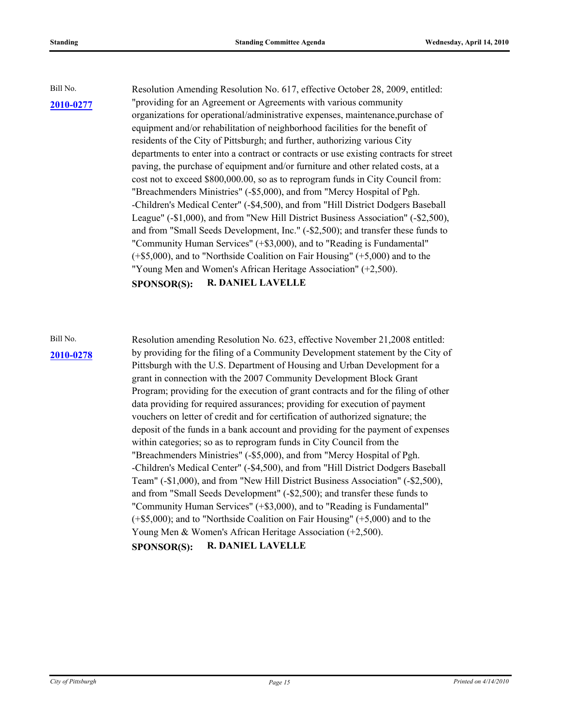Bill No. Resolution Amending Resolution No. 617, effective October 28, 2009, entitled: **[2010-0277](http://pittsburgh.legistar.com/gateway.aspx/matter.aspx?key=12807)** "providing for an Agreement or Agreements with various community" organizations for operational/administrative expenses, maintenance,purchase of equipment and/or rehabilitation of neighborhood facilities for the benefit of residents of the City of Pittsburgh; and further, authorizing various City departments to enter into a contract or contracts or use existing contracts for street paving, the purchase of equipment and/or furniture and other related costs, at a cost not to exceed \$800,000.00, so as to reprogram funds in City Council from: "Breachmenders Ministries" (-\$5,000), and from "Mercy Hospital of Pgh. -Children's Medical Center" (-\$4,500), and from "Hill District Dodgers Baseball League" (-\$1,000), and from "New Hill District Business Association" (-\$2,500), and from "Small Seeds Development, Inc." (-\$2,500); and transfer these funds to "Community Human Services" (+\$3,000), and to "Reading is Fundamental" (+\$5,000), and to "Northside Coalition on Fair Housing" (+5,000) and to the "Young Men and Women's African Heritage Association" (+2,500). **SPONSOR(S): R. DANIEL LAVELLE**

Bill No. Resolution amending Resolution No. 623, effective November 21,2008 entitled: by providing for the filing of a Community Development statement by the City of **[2010-0278](http://pittsburgh.legistar.com/gateway.aspx/matter.aspx?key=12808)** Pittsburgh with the U.S. Department of Housing and Urban Development for a grant in connection with the 2007 Community Development Block Grant Program; providing for the execution of grant contracts and for the filing of other data providing for required assurances; providing for execution of payment vouchers on letter of credit and for certification of authorized signature; the deposit of the funds in a bank account and providing for the payment of expenses within categories; so as to reprogram funds in City Council from the "Breachmenders Ministries" (-\$5,000), and from "Mercy Hospital of Pgh. -Children's Medical Center" (-\$4,500), and from "Hill District Dodgers Baseball Team" (-\$1,000), and from "New Hill District Business Association" (-\$2,500), and from "Small Seeds Development" (-\$2,500); and transfer these funds to "Community Human Services" (+\$3,000), and to "Reading is Fundamental" (+\$5,000); and to "Northside Coalition on Fair Housing" (+5,000) and to the Young Men & Women's African Heritage Association (+2,500). **SPONSOR(S): R. DANIEL LAVELLE**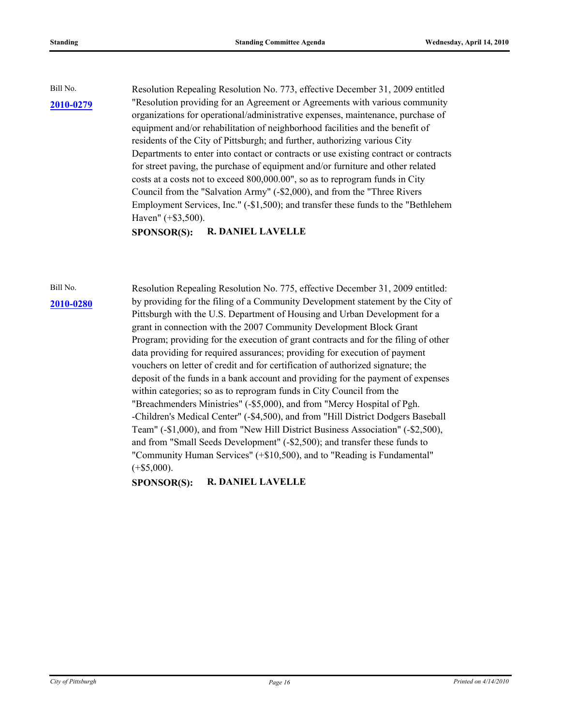Bill No. Resolution Repealing Resolution No. 773, effective December 31, 2009 entitled "Resolution providing for an Agreement or Agreements with various community **[2010-0279](http://pittsburgh.legistar.com/gateway.aspx/matter.aspx?key=12809)** organizations for operational/administrative expenses, maintenance, purchase of equipment and/or rehabilitation of neighborhood facilities and the benefit of residents of the City of Pittsburgh; and further, authorizing various City Departments to enter into contact or contracts or use existing contract or contracts for street paving, the purchase of equipment and/or furniture and other related costs at a costs not to exceed 800,000.00", so as to reprogram funds in City Council from the "Salvation Army" (-\$2,000), and from the "Three Rivers Employment Services, Inc." (-\$1,500); and transfer these funds to the "Bethlehem Haven" (+\$3,500).

**SPONSOR(S): R. DANIEL LAVELLE**

Bill No. Resolution Repealing Resolution No. 775, effective December 31, 2009 entitled: by providing for the filing of a Community Development statement by the City of **[2010-0280](http://pittsburgh.legistar.com/gateway.aspx/matter.aspx?key=12810)** Pittsburgh with the U.S. Department of Housing and Urban Development for a grant in connection with the 2007 Community Development Block Grant Program; providing for the execution of grant contracts and for the filing of other data providing for required assurances; providing for execution of payment vouchers on letter of credit and for certification of authorized signature; the deposit of the funds in a bank account and providing for the payment of expenses within categories; so as to reprogram funds in City Council from the "Breachmenders Ministries" (-\$5,000), and from "Mercy Hospital of Pgh. -Children's Medical Center" (-\$4,500), and from "Hill District Dodgers Baseball Team" (-\$1,000), and from "New Hill District Business Association" (-\$2,500), and from "Small Seeds Development" (-\$2,500); and transfer these funds to "Community Human Services" (+\$10,500), and to "Reading is Fundamental"  $(+\$5,000).$ 

**SPONSOR(S): R. DANIEL LAVELLE**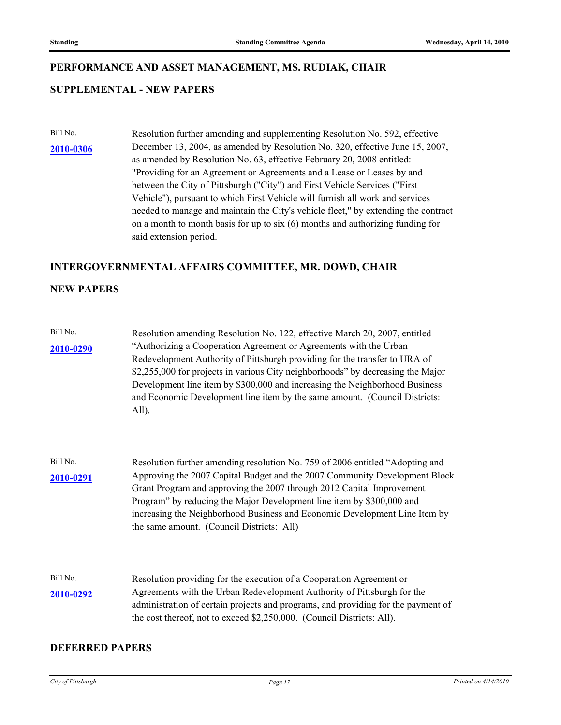#### **PERFORMANCE AND ASSET MANAGEMENT, MS. RUDIAK, CHAIR**

#### **SUPPLEMENTAL - NEW PAPERS**

Bill No. Resolution further amending and supplementing Resolution No. 592, effective December 13, 2004, as amended by Resolution No. 320, effective June 15, 2007, as amended by Resolution No. 63, effective February 20, 2008 entitled: "Providing for an Agreement or Agreements and a Lease or Leases by and between the City of Pittsburgh ("City") and First Vehicle Services ("First Vehicle"), pursuant to which First Vehicle will furnish all work and services needed to manage and maintain the City's vehicle fleet," by extending the contract on a month to month basis for up to six (6) months and authorizing funding for said extension period. **[2010-0306](http://pittsburgh.legistar.com/gateway.aspx/matter.aspx?key=12838)**

#### **INTERGOVERNMENTAL AFFAIRS COMMITTEE, MR. DOWD, CHAIR**

### **NEW PAPERS**

| Bill No.  | Resolution amending Resolution No. 122, effective March 20, 2007, entitled      |
|-----------|---------------------------------------------------------------------------------|
| 2010-0290 | "Authorizing a Cooperation Agreement or Agreements with the Urban               |
|           | Redevelopment Authority of Pittsburgh providing for the transfer to URA of      |
|           | \$2,255,000 for projects in various City neighborhoods" by decreasing the Major |
|           | Development line item by \$300,000 and increasing the Neighborhood Business     |
|           | and Economic Development line item by the same amount. (Council Districts:      |
|           | All).                                                                           |

- Bill No. Resolution further amending resolution No. 759 of 2006 entitled "Adopting and Approving the 2007 Capital Budget and the 2007 Community Development Block Grant Program and approving the 2007 through 2012 Capital Improvement Program" by reducing the Major Development line item by \$300,000 and increasing the Neighborhood Business and Economic Development Line Item by the same amount. (Council Districts: All) **[2010-0291](http://pittsburgh.legistar.com/gateway.aspx/matter.aspx?key=12823)**
- Bill No. Resolution providing for the execution of a Cooperation Agreement or Agreements with the Urban Redevelopment Authority of Pittsburgh for the administration of certain projects and programs, and providing for the payment of the cost thereof, not to exceed \$2,250,000. (Council Districts: All). **[2010-0292](http://pittsburgh.legistar.com/gateway.aspx/matter.aspx?key=12824)**

#### **DEFERRED PAPERS**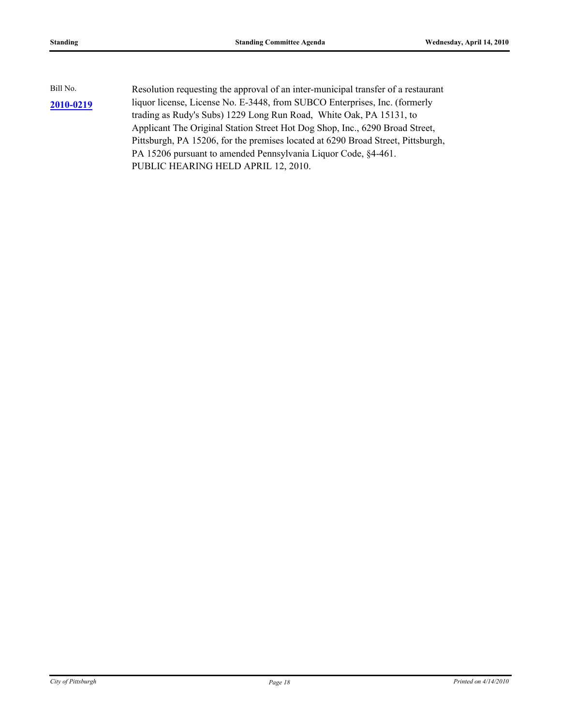| Bill No.  | Resolution requesting the approval of an inter-municipal transfer of a restaurant |
|-----------|-----------------------------------------------------------------------------------|
| 2010-0219 | liquor license, License No. E-3448, from SUBCO Enterprises, Inc. (formerly        |
|           | trading as Rudy's Subs) 1229 Long Run Road, White Oak, PA 15131, to               |
|           | Applicant The Original Station Street Hot Dog Shop, Inc., 6290 Broad Street,      |
|           | Pittsburgh, PA 15206, for the premises located at 6290 Broad Street, Pittsburgh,  |
|           | PA 15206 pursuant to amended Pennsylvania Liquor Code, §4-461.                    |
|           | PUBLIC HEARING HELD APRIL 12, 2010.                                               |